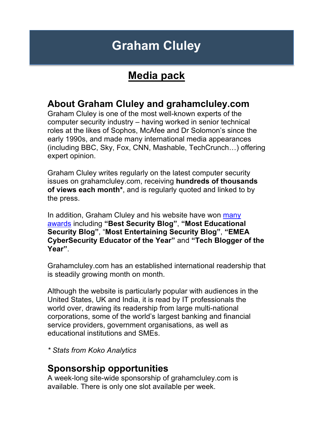# **Graham Cluley**

## **Media pack**

### **About Graham Cluley and grahamcluley.com**

Graham Cluley is one of the most well-known experts of the computer security industry – having worked in senior technical roles at the likes of Sophos, McAfee and Dr Solomon's since the early 1990s, and made many international media appearances (including BBC, Sky, Fox, CNN, Mashable, TechCrunch…) offering expert opinion.

Graham Cluley writes regularly on the latest computer security issues on grahamcluley.com, receiving **hundreds of thousands of views each month\***, and is regularly quoted and linked to by the press.

In addition, Graham Cluley and his website have won many awards including **"Best Security Blog"**, **"Most Educational Security Blog"**, "**Most Entertaining Security Blog"**, **"EMEA CyberSecurity Educator of the Year"** and **"Tech Blogger of the Year"**.

Grahamcluley.com has an established international readership that is steadily growing month on month.

Although the website is particularly popular with audiences in the United States, UK and India, it is read by IT professionals the world over, drawing its readership from large multi-national corporations, some of the world's largest banking and financial service providers, government organisations, as well as educational institutions and SMEs.

*\* Stats from Koko Analytics*

#### **Sponsorship opportunities**

A week-long site-wide sponsorship of grahamcluley.com is available. There is only one slot available per week.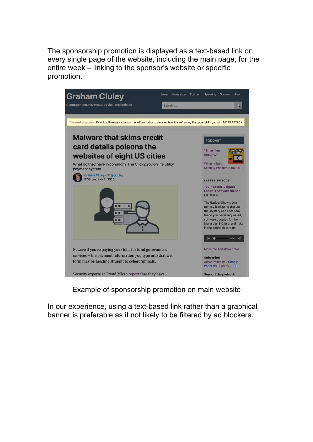The sponsorship promotion is displayed as a text-based link on every single page of the website, including the main page, for the entire week – linking to the sponsor's website or specific promotion.



Example of sponsorship promotion on main website

In our experience, using a text-based link rather than a graphical banner is preferable as it not likely to be filtered by ad blockers.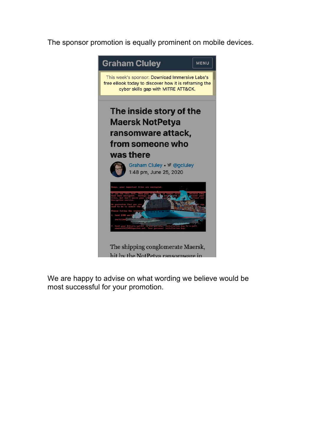The sponsor promotion is equally prominent on mobile devices.



We are happy to advise on what wording we believe would be most successful for your promotion.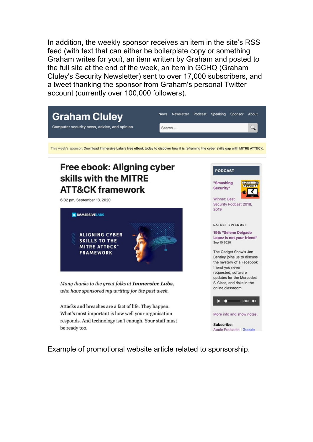In addition, the weekly sponsor receives an item in the site's RSS feed (with text that can either be boilerplate copy or something Graham writes for you), an item written by Graham and posted to the full site at the end of the week, an item in GCHQ (Graham Cluley's Security Newsletter) sent to over 17,000 subscribers, and a tweet thanking the sponsor from Graham's personal Twitter account (currently over 100,000 followers).



Example of promotional website article related to sponsorship.